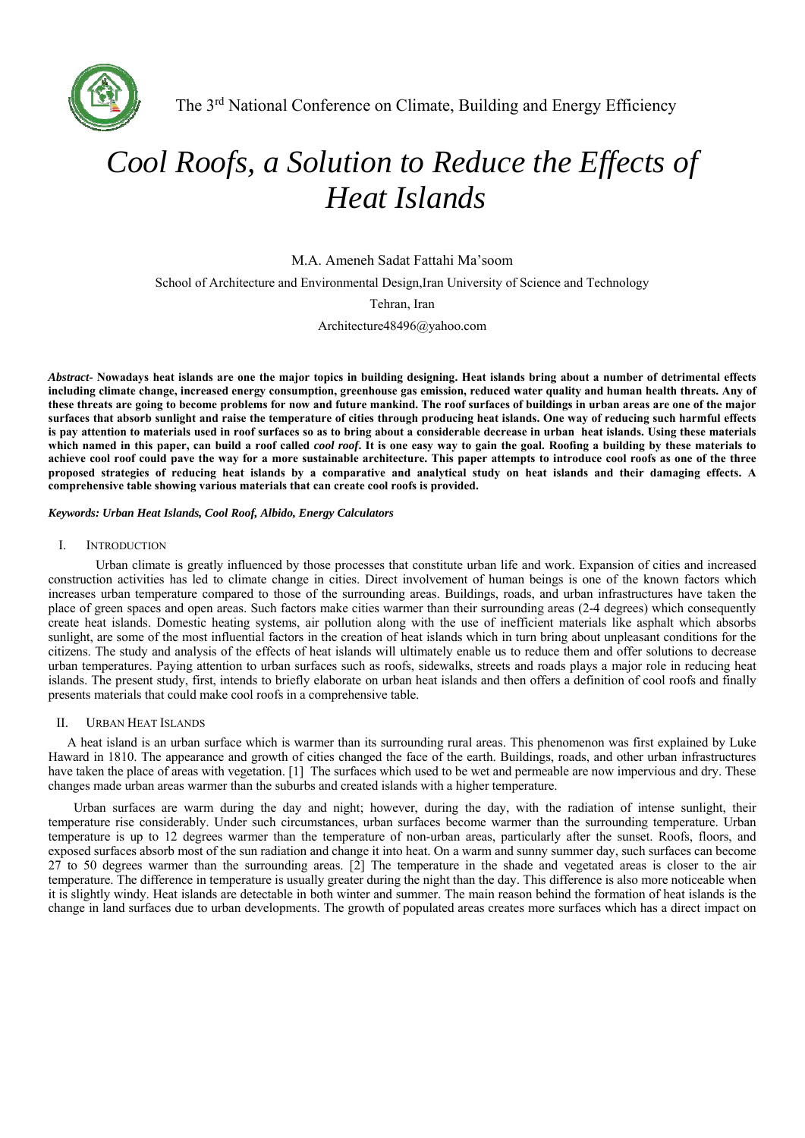

# *Cool Roofs, a Solution to Reduce the Effects of Heat Islands*

M.A. Ameneh Sadat Fattahi Ma'soom

School of Architecture and Environmental Design,Iran University of Science and Technology

Tehran, Iran

Architecture48496@yahoo.com

*Abstract-* **Nowadays heat islands are one the major topics in building designing. Heat islands bring about a number of detrimental effects including climate change, increased energy consumption, greenhouse gas emission, reduced water quality and human health threats. Any of these threats are going to become problems for now and future mankind. The roof surfaces of buildings in urban areas are one of the major surfaces that absorb sunlight and raise the temperature of cities through producing heat islands. One way of reducing such harmful effects is pay attention to materials used in roof surfaces so as to bring about a considerable decrease in urban heat islands. Using these materials which named in this paper, can build a roof called** *cool roof***. It is one easy way to gain the goal. Roofing a building by these materials to achieve cool roof could pave the way for a more sustainable architecture. This paper attempts to introduce cool roofs as one of the three proposed strategies of reducing heat islands by a comparative and analytical study on heat islands and their damaging effects. A comprehensive table showing various materials that can create cool roofs is provided.** 

*Keywords: Urban Heat Islands, Cool Roof, Albido, Energy Calculators* 

### I. INTRODUCTION

Urban climate is greatly influenced by those processes that constitute urban life and work. Expansion of cities and increased construction activities has led to climate change in cities. Direct involvement of human beings is one of the known factors which increases urban temperature compared to those of the surrounding areas. Buildings, roads, and urban infrastructures have taken the place of green spaces and open areas. Such factors make cities warmer than their surrounding areas (2-4 degrees) which consequently create heat islands. Domestic heating systems, air pollution along with the use of inefficient materials like asphalt which absorbs sunlight, are some of the most influential factors in the creation of heat islands which in turn bring about unpleasant conditions for the citizens. The study and analysis of the effects of heat islands will ultimately enable us to reduce them and offer solutions to decrease urban temperatures. Paying attention to urban surfaces such as roofs, sidewalks, streets and roads plays a major role in reducing heat islands. The present study, first, intends to briefly elaborate on urban heat islands and then offers a definition of cool roofs and finally presents materials that could make cool roofs in a comprehensive table.

### II. URBAN HEAT ISLANDS

A heat island is an urban surface which is warmer than its surrounding rural areas. This phenomenon was first explained by Luke Haward in 1810. The appearance and growth of cities changed the face of the earth. Buildings, roads, and other urban infrastructures have taken the place of areas with vegetation. [1] The surfaces which used to be wet and permeable are now impervious and dry. These changes made urban areas warmer than the suburbs and created islands with a higher temperature.

 Urban surfaces are warm during the day and night; however, during the day, with the radiation of intense sunlight, their temperature rise considerably. Under such circumstances, urban surfaces become warmer than the surrounding temperature. Urban temperature is up to 12 degrees warmer than the temperature of non-urban areas, particularly after the sunset. Roofs, floors, and exposed surfaces absorb most of the sun radiation and change it into heat. On a warm and sunny summer day, such surfaces can become  $27$  to 50 degrees warmer than the surrounding areas. [2] The temperature in the shade and vegetated areas is closer to the air temperature. The difference in temperature is usually greater during the night than the day. This difference is also more noticeable when it is slightly windy. Heat islands are detectable in both winter and summer. The main reason behind the formation of heat islands is the change in land surfaces due to urban developments. The growth of populated areas creates more surfaces which has a direct impact on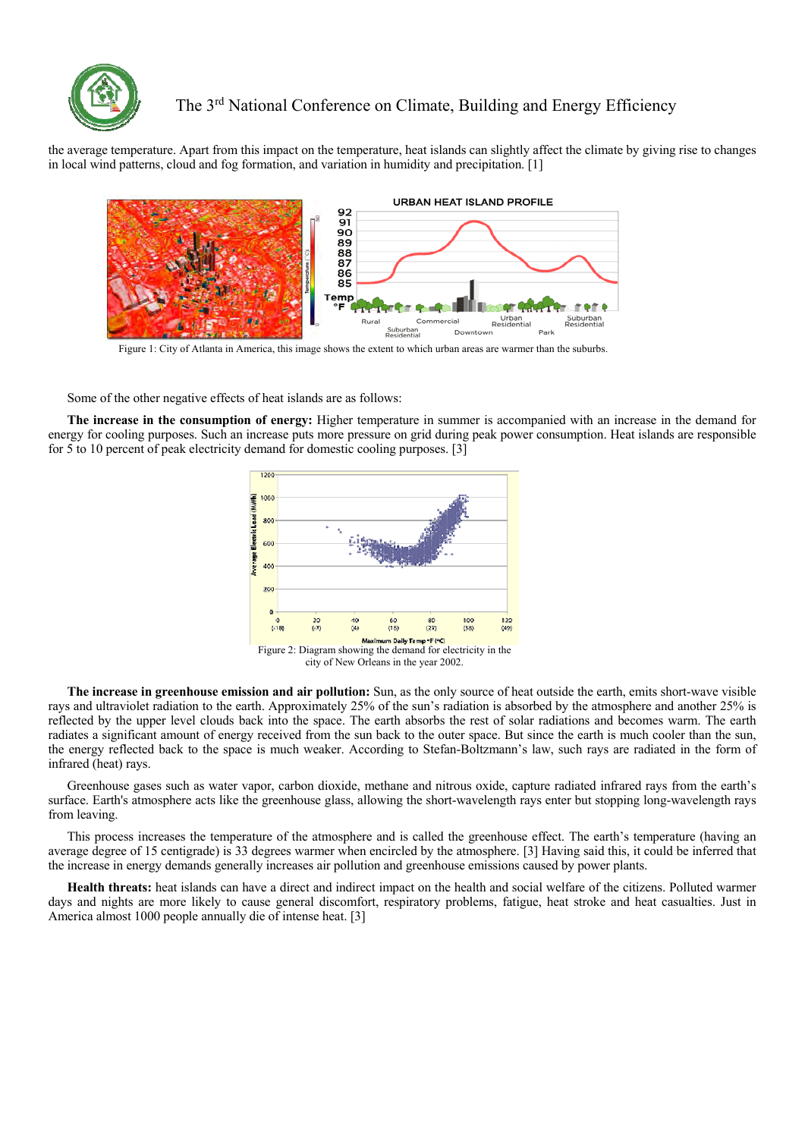

the average temperature. Apart from this impact on the temperature, heat islands can slightly affect the climate by giving rise to changes in local wind patterns, cloud and fog formation, and variation in humidity and precipitation. [1]



Some of the other negative effects of heat islands are as follows:

**The increase in the consumption of energy:** Higher temperature in summer is accompanied with an increase in the demand for energy for cooling purposes. Such an increase puts more pressure on grid during peak power consumption. Heat islands are responsible for 5 to 10 percent of peak electricity demand for domestic cooling purposes. [3]



**The increase in greenhouse emission and air pollution:** Sun, as the only source of heat outside the earth, emits short-wave visible rays and ultraviolet radiation to the earth. Approximately 25% of the sun's radiation is absorbed by the atmosphere and another 25% is reflected by the upper level clouds back into the space. The earth absorbs the rest of solar radiations and becomes warm. The earth radiates a significant amount of energy received from the sun back to the outer space. But since the earth is much cooler than the sun, the energy reflected back to the space is much weaker. According to Stefan-Boltzmann's law, such rays are radiated in the form of infrared (heat) rays.

Greenhouse gases such as water vapor, carbon dioxide, methane and nitrous oxide, capture radiated infrared rays from the earth's surface. Earth's atmosphere acts like the greenhouse glass, allowing the short-wavelength rays enter but stopping long-wavelength rays from leaving.

This process increases the temperature of the atmosphere and is called the greenhouse effect. The earth's temperature (having an average degree of 15 centigrade) is 33 degrees warmer when encircled by the atmosphere. [3] Having said this, it could be inferred that the increase in energy demands generally increases air pollution and greenhouse emissions caused by power plants.

**Health threats:** heat islands can have a direct and indirect impact on the health and social welfare of the citizens. Polluted warmer days and nights are more likely to cause general discomfort, respiratory problems, fatigue, heat stroke and heat casualties. Just in America almost 1000 people annually die of intense heat. [3]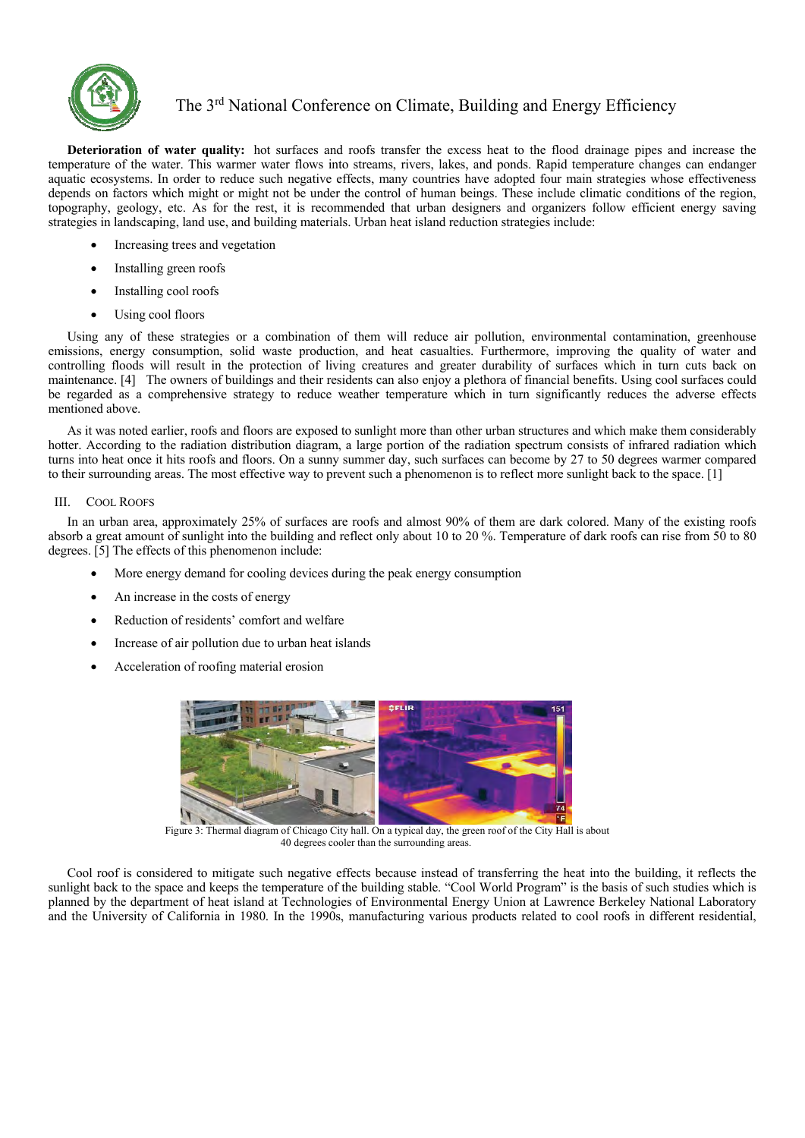

**Deterioration of water quality:** hot surfaces and roofs transfer the excess heat to the flood drainage pipes and increase the temperature of the water. This warmer water flows into streams, rivers, lakes, and ponds. Rapid temperature changes can endanger aquatic ecosystems. In order to reduce such negative effects, many countries have adopted four main strategies whose effectiveness depends on factors which might or might not be under the control of human beings. These include climatic conditions of the region, topography, geology, etc. As for the rest, it is recommended that urban designers and organizers follow efficient energy saving strategies in landscaping, land use, and building materials. Urban heat island reduction strategies include:

- Increasing trees and vegetation
- Installing green roofs
- Installing cool roofs
- Using cool floors

Using any of these strategies or a combination of them will reduce air pollution, environmental contamination, greenhouse emissions, energy consumption, solid waste production, and heat casualties. Furthermore, improving the quality of water and controlling floods will result in the protection of living creatures and greater durability of surfaces which in turn cuts back on maintenance. [4] The owners of buildings and their residents can also enjoy a plethora of financial benefits. Using cool surfaces could be regarded as a comprehensive strategy to reduce weather temperature which in turn significantly reduces the adverse effects mentioned above.

As it was noted earlier, roofs and floors are exposed to sunlight more than other urban structures and which make them considerably hotter. According to the radiation distribution diagram, a large portion of the radiation spectrum consists of infrared radiation which turns into heat once it hits roofs and floors. On a sunny summer day, such surfaces can become by 27 to 50 degrees warmer compared to their surrounding areas. The most effective way to prevent such a phenomenon is to reflect more sunlight back to the space. [1]

### III. COOL ROOFS

In an urban area, approximately 25% of surfaces are roofs and almost 90% of them are dark colored. Many of the existing roofs absorb a great amount of sunlight into the building and reflect only about 10 to 20 %. Temperature of dark roofs can rise from 50 to 80 degrees. [5] The effects of this phenomenon include:

- More energy demand for cooling devices during the peak energy consumption
- An increase in the costs of energy
- Reduction of residents' comfort and welfare
- Increase of air pollution due to urban heat islands
- Acceleration of roofing material erosion



Figure 3: Thermal diagram of Chicago City hall. On a typical day, the green roof of the City Hall is about 40 degrees cooler than the surrounding areas.

Cool roof is considered to mitigate such negative effects because instead of transferring the heat into the building, it reflects the sunlight back to the space and keeps the temperature of the building stable. "Cool World Program" is the basis of such studies which is planned by the department of heat island at Technologies of Environmental Energy Union at Lawrence Berkeley National Laboratory and the University of California in 1980. In the 1990s, manufacturing various products related to cool roofs in different residential,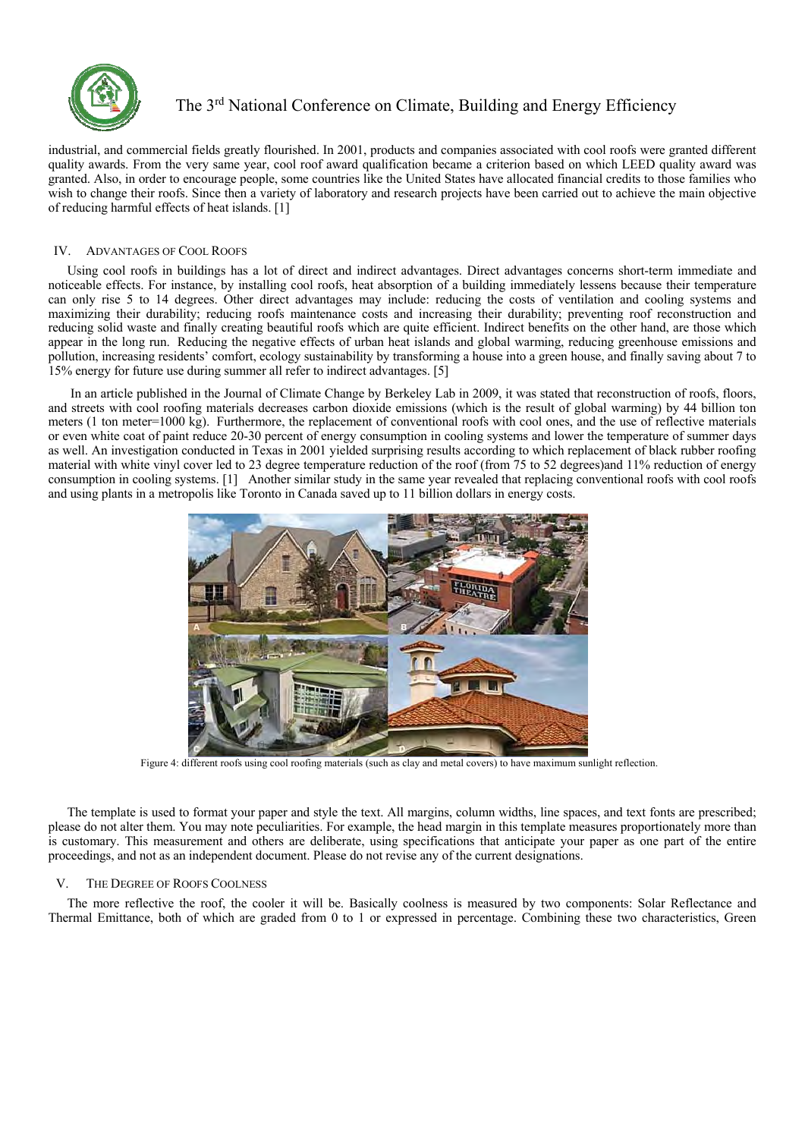

industrial, and commercial fields greatly flourished. In 2001, products and companies associated with cool roofs were granted different quality awards. From the very same year, cool roof award qualification became a criterion based on which LEED quality award was granted. Also, in order to encourage people, some countries like the United States have allocated financial credits to those families who wish to change their roofs. Since then a variety of laboratory and research projects have been carried out to achieve the main objective of reducing harmful effects of heat islands. [1]

### IV. ADVANTAGES OF COOL ROOFS

Using cool roofs in buildings has a lot of direct and indirect advantages. Direct advantages concerns short-term immediate and noticeable effects. For instance, by installing cool roofs, heat absorption of a building immediately lessens because their temperature can only rise 5 to 14 degrees. Other direct advantages may include: reducing the costs of ventilation and cooling systems and maximizing their durability; reducing roofs maintenance costs and increasing their durability; preventing roof reconstruction and reducing solid waste and finally creating beautiful roofs which are quite efficient. Indirect benefits on the other hand, are those which appear in the long run. Reducing the negative effects of urban heat islands and global warming, reducing greenhouse emissions and pollution, increasing residents' comfort, ecology sustainability by transforming a house into a green house, and finally saving about 7 to 15% energy for future use during summer all refer to indirect advantages. [5]

 In an article published in the Journal of Climate Change by Berkeley Lab in 2009, it was stated that reconstruction of roofs, floors, and streets with cool roofing materials decreases carbon dioxide emissions (which is the result of global warming) by 44 billion ton meters (1 ton meter=1000 kg). Furthermore, the replacement of conventional roofs with cool ones, and the use of reflective materials or even white coat of paint reduce 20-30 percent of energy consumption in cooling systems and lower the temperature of summer days as well. An investigation conducted in Texas in 2001 yielded surprising results according to which replacement of black rubber roofing material with white vinyl cover led to 23 degree temperature reduction of the roof (from 75 to 52 degrees)and 11% reduction of energy consumption in cooling systems. [1] Another similar study in the same year revealed that replacing conventional roofs with cool roofs and using plants in a metropolis like Toronto in Canada saved up to 11 billion dollars in energy costs.



Figure 4: different roofs using cool roofing materials (such as clay and metal covers) to have maximum sunlight reflection.

The template is used to format your paper and style the text. All margins, column widths, line spaces, and text fonts are prescribed; please do not alter them. You may note peculiarities. For example, the head margin in this template measures proportionately more than is customary. This measurement and others are deliberate, using specifications that anticipate your paper as one part of the entire proceedings, and not as an independent document. Please do not revise any of the current designations.

### V. THE DEGREE OF ROOFS COOLNESS

The more reflective the roof, the cooler it will be. Basically coolness is measured by two components: Solar Reflectance and Thermal Emittance, both of which are graded from 0 to 1 or expressed in percentage. Combining these two characteristics, Green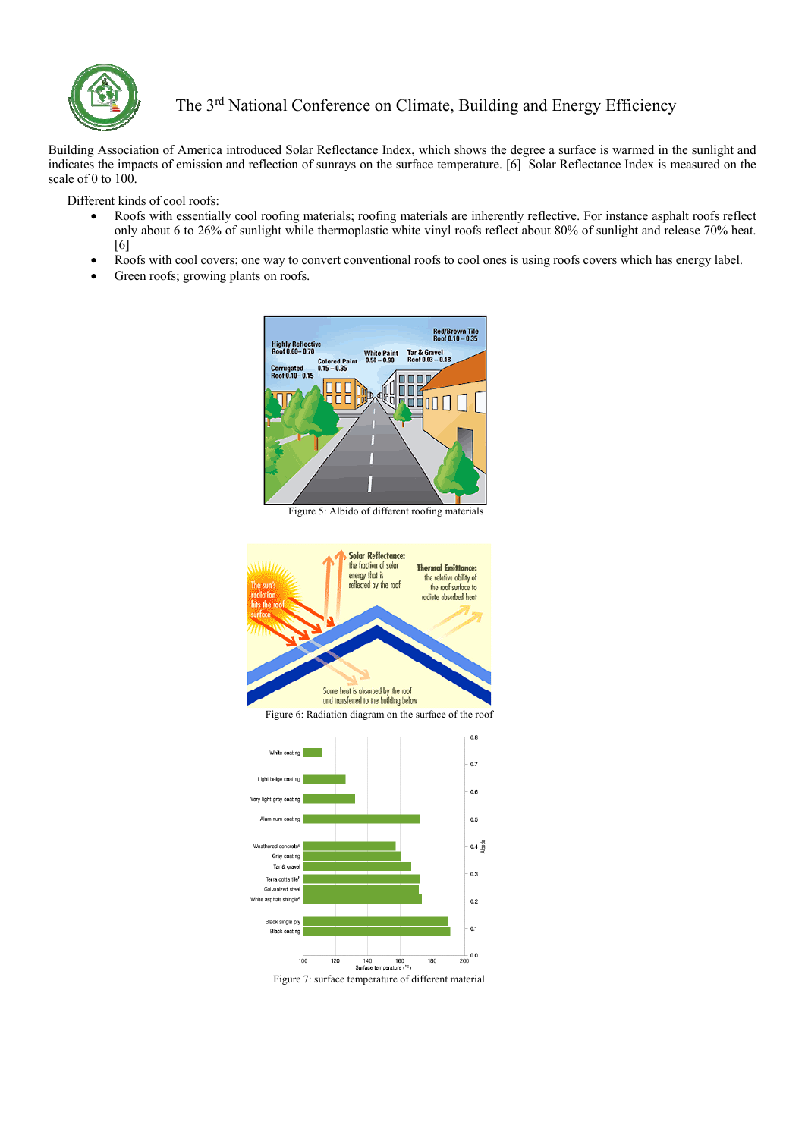

Building Association of America introduced Solar Reflectance Index, which shows the degree a surface is warmed in the sunlight and indicates the impacts of emission and reflection of sunrays on the surface temperature. [6] Solar Reflectance Index is measured on the scale of 0 to 100.

Different kinds of cool roofs:

- Roofs with essentially cool roofing materials; roofing materials are inherently reflective. For instance asphalt roofs reflect only about 6 to 26% of sunlight while thermoplastic white vinyl roofs reflect about 80% of sunlight and release 70% heat. [6]
- Roofs with cool covers; one way to convert conventional roofs to cool ones is using roofs covers which has energy label.
- Green roofs; growing plants on roofs.



Figure 5: Albido of different roofing materials



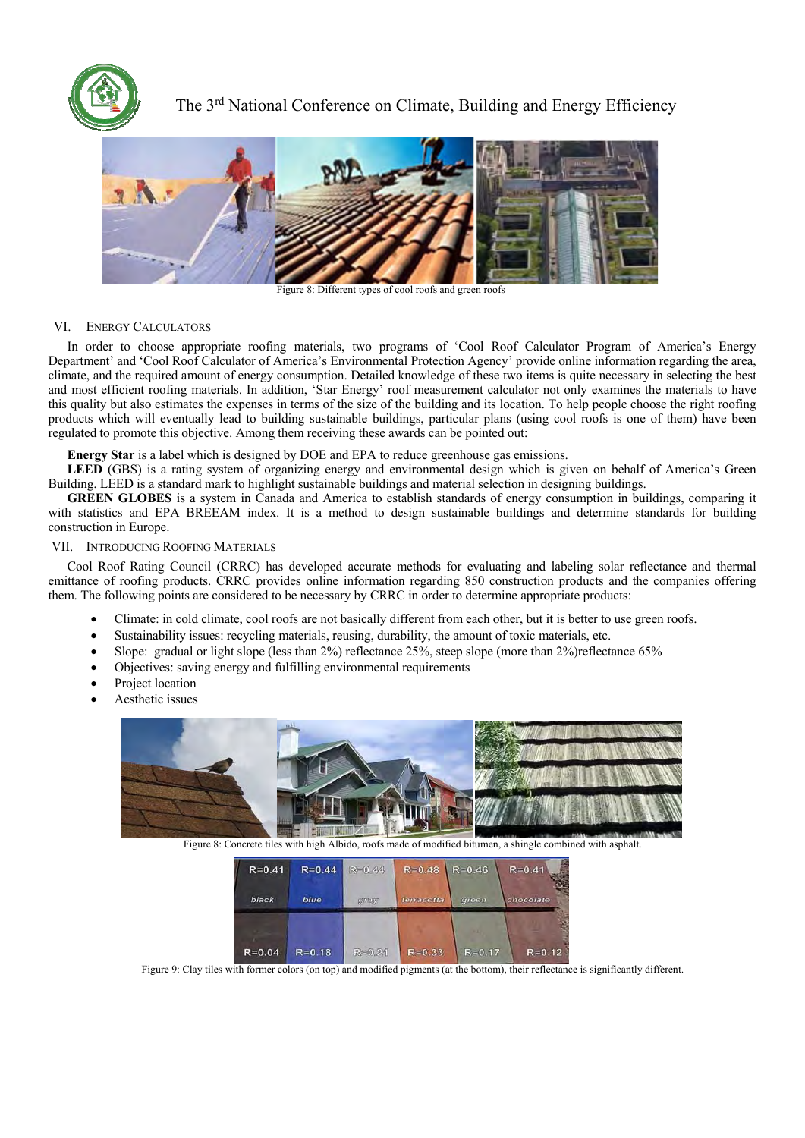



Figure 8: Different types of cool roofs and green roofs

### VI. ENERGY CALCULATORS

In order to choose appropriate roofing materials, two programs of 'Cool Roof Calculator Program of America's Energy Department' and 'Cool Roof Calculator of America's Environmental Protection Agency' provide online information regarding the area, climate, and the required amount of energy consumption. Detailed knowledge of these two items is quite necessary in selecting the best and most efficient roofing materials. In addition, 'Star Energy' roof measurement calculator not only examines the materials to have this quality but also estimates the expenses in terms of the size of the building and its location. To help people choose the right roofing products which will eventually lead to building sustainable buildings, particular plans (using cool roofs is one of them) have been regulated to promote this objective. Among them receiving these awards can be pointed out:

**Energy Star** is a label which is designed by DOE and EPA to reduce greenhouse gas emissions.

**LEED** (GBS) is a rating system of organizing energy and environmental design which is given on behalf of America's Green Building. LEED is a standard mark to highlight sustainable buildings and material selection in designing buildings.

**GREEN GLOBES** is a system in Canada and America to establish standards of energy consumption in buildings, comparing it with statistics and EPA BREEAM index. It is a method to design sustainable buildings and determine standards for building construction in Europe.

### VII. INTRODUCING ROOFING MATERIALS

Cool Roof Rating Council (CRRC) has developed accurate methods for evaluating and labeling solar reflectance and thermal emittance of roofing products. CRRC provides online information regarding 850 construction products and the companies offering them. The following points are considered to be necessary by CRRC in order to determine appropriate products:

- Climate: in cold climate, cool roofs are not basically different from each other, but it is better to use green roofs.
- Sustainability issues: recycling materials, reusing, durability, the amount of toxic materials, etc.
- Slope: gradual or light slope (less than 2%) reflectance 25%, steep slope (more than 2%)reflectance 65%
- Objectives: saving energy and fulfilling environmental requirements
- Project location
- Aesthetic issues



Figure 8: Concrete tiles with high Albido, roofs made of modified bitumen, a shingle combined with asphalt.

| $R = 0.41$ | $R = 0.44$ | $R = 0.44$   | $R = 0.48$ | $R = 0.46$          | $R = 0.41$ |
|------------|------------|--------------|------------|---------------------|------------|
| black      | blue       | <b>SUNNY</b> | terracotta | <i><b>Green</b></i> | chocolate  |
|            |            |              |            |                     |            |
| $R = 0.04$ | $R = 0.18$ | R=0.21       | $R = 0.33$ | $R = 0.17$          | $R = 0.12$ |

Figure 9: Clay tiles with former colors (on top) and modified pigments (at the bottom), their reflectance is significantly different.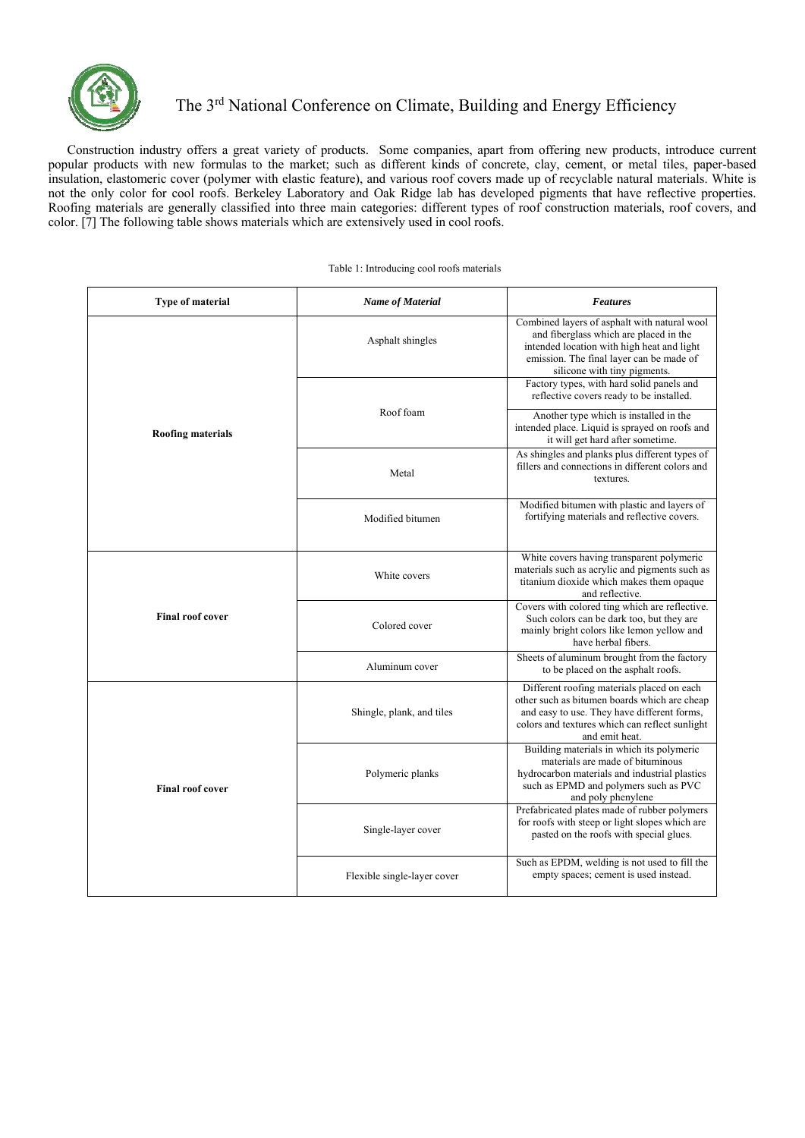

Construction industry offers a great variety of products. Some companies, apart from offering new products, introduce current popular products with new formulas to the market; such as different kinds of concrete, clay, cement, or metal tiles, paper-based insulation, elastomeric cover (polymer with elastic feature), and various roof covers made up of recyclable natural materials. White is not the only color for cool roofs. Berkeley Laboratory and Oak Ridge lab has developed pigments that have reflective properties. Roofing materials are generally classified into three main categories: different types of roof construction materials, roof covers, and color. [7] The following table shows materials which are extensively used in cool roofs.

#### Table 1: Introducing cool roofs materials

| <b>Type of material</b>  | <b>Name of Material</b>     | <b>Features</b>                                                                                                                                                                                                                                                                                           |
|--------------------------|-----------------------------|-----------------------------------------------------------------------------------------------------------------------------------------------------------------------------------------------------------------------------------------------------------------------------------------------------------|
|                          | Asphalt shingles            | Combined layers of asphalt with natural wool<br>and fiberglass which are placed in the<br>intended location with high heat and light<br>emission. The final layer can be made of<br>silicone with tiny pigments.<br>Factory types, with hard solid panels and<br>reflective covers ready to be installed. |
| <b>Roofing materials</b> | Roof foam                   | Another type which is installed in the<br>intended place. Liquid is sprayed on roofs and<br>it will get hard after sometime.                                                                                                                                                                              |
|                          | Metal                       | As shingles and planks plus different types of<br>fillers and connections in different colors and<br>textures.                                                                                                                                                                                            |
|                          | Modified bitumen            | Modified bitumen with plastic and layers of<br>fortifying materials and reflective covers.                                                                                                                                                                                                                |
|                          | White covers                | White covers having transparent polymeric<br>materials such as acrylic and pigments such as<br>titanium dioxide which makes them opaque<br>and reflective.                                                                                                                                                |
| <b>Final roof cover</b>  | Colored cover               | Covers with colored ting which are reflective.<br>Such colors can be dark too, but they are<br>mainly bright colors like lemon yellow and<br>have herbal fibers.                                                                                                                                          |
|                          | Aluminum cover              | Sheets of aluminum brought from the factory<br>to be placed on the asphalt roofs.                                                                                                                                                                                                                         |
|                          | Shingle, plank, and tiles   | Different roofing materials placed on each<br>other such as bitumen boards which are cheap<br>and easy to use. They have different forms,<br>colors and textures which can reflect sunlight<br>and emit heat.                                                                                             |
| <b>Final roof cover</b>  | Polymeric planks            | Building materials in which its polymeric<br>materials are made of bituminous<br>hydrocarbon materials and industrial plastics<br>such as EPMD and polymers such as PVC<br>and poly phenylene                                                                                                             |
|                          | Single-layer cover          | Prefabricated plates made of rubber polymers<br>for roofs with steep or light slopes which are<br>pasted on the roofs with special glues.                                                                                                                                                                 |
|                          | Flexible single-layer cover | Such as EPDM, welding is not used to fill the<br>empty spaces; cement is used instead.                                                                                                                                                                                                                    |